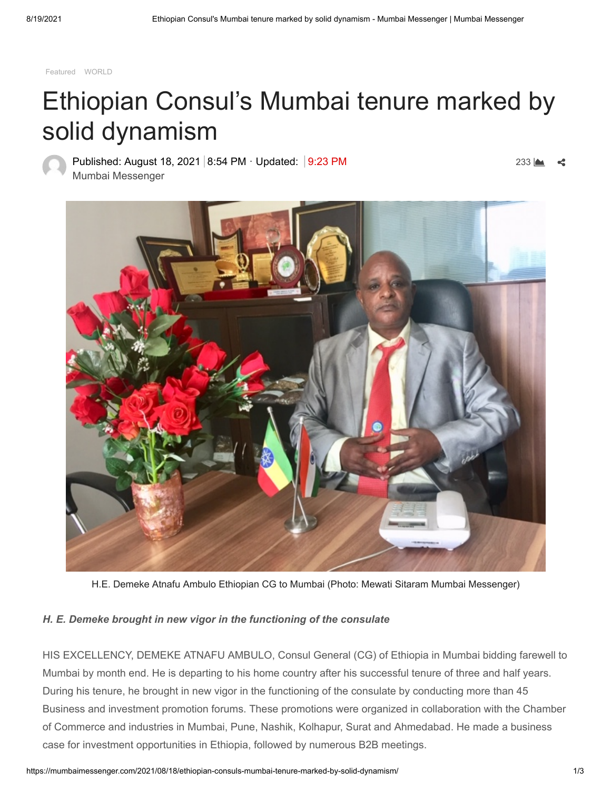[Featured](https://mumbaimessenger.com/category/featured/) [WORLD](https://mumbaimessenger.com/category/world/)

## Ethiopian Consul's Mumbai tenure marked by solid dynamism

Published: August 18, 2021 8:54 PM · Updated: 9:23 PM [Mumbai Messenger](https://mumbaimessenger.com/author/admin/)

233



H.E. Demeke Atnafu Ambulo Ethiopian CG to Mumbai (Photo: Mewati Sitaram Mumbai Messenger)

## *H. E. Demeke brought in new vigor in the functioning of the consulate*

HIS EXCELLENCY, DEMEKE ATNAFU AMBULO, Consul General (CG) of Ethiopia in Mumbai bidding farewell to Mumbai by month end. He is departing to his home country after his successful tenure of three and half years. During his tenure, he brought in new vigor in the functioning of the consulate by conducting more than 45 Business and investment promotion forums. These promotions were organized in collaboration with the Chamber of Commerce and industries in Mumbai, Pune, Nashik, Kolhapur, Surat and Ahmedabad. He made a business case for investment opportunities in Ethiopia, followed by numerous B2B meetings.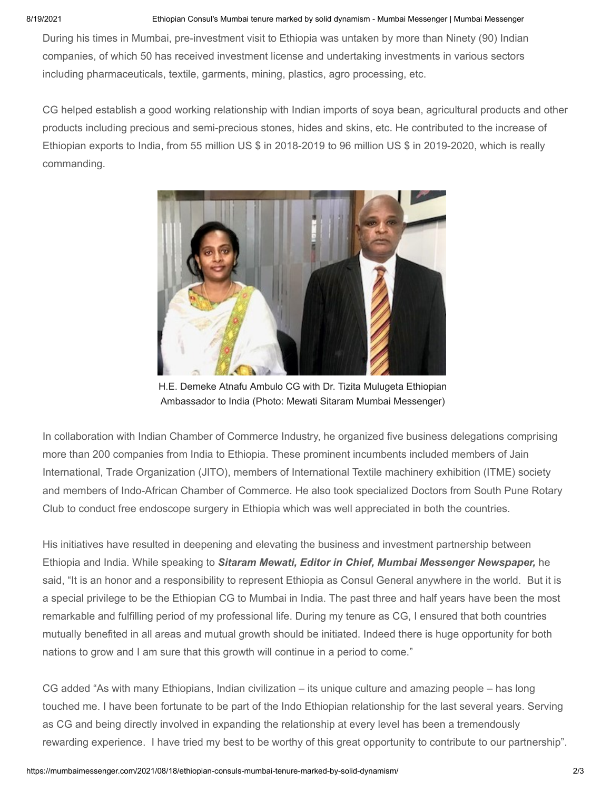## 8/19/2021 Ethiopian Consul's Mumbai tenure marked by solid dynamism - Mumbai Messenger | Mumbai Messenger

During his times in Mumbai, pre-investment visit to Ethiopia was untaken by more than Ninety (90) Indian companies, of which 50 has received investment license and undertaking investments in various sectors including pharmaceuticals, textile, garments, mining, plastics, agro processing, etc.

CG helped establish a good working relationship with Indian imports of soya bean, agricultural products and other products including precious and semi-precious stones, hides and skins, etc. He contributed to the increase of Ethiopian exports to India, from 55 million US \$ in 2018-2019 to 96 million US \$ in 2019-2020, which is really commanding.



H.E. Demeke Atnafu Ambulo CG with Dr. Tizita Mulugeta Ethiopian Ambassador to India (Photo: Mewati Sitaram Mumbai Messenger)

In collaboration with Indian Chamber of Commerce Industry, he organized five business delegations comprising more than 200 companies from India to Ethiopia. These prominent incumbents included members of Jain International, Trade Organization (JITO), members of International Textile machinery exhibition (ITME) society and members of Indo-African Chamber of Commerce. He also took specialized Doctors from South Pune Rotary Club to conduct free endoscope surgery in Ethiopia which was well appreciated in both the countries.

His initiatives have resulted in deepening and elevating the business and investment partnership between Ethiopia and India. While speaking to *Sitaram Mewati, Editor in Chief, Mumbai Messenger Newspaper,* he said, "It is an honor and a responsibility to represent Ethiopia as Consul General anywhere in the world. But it is a special privilege to be the Ethiopian CG to Mumbai in India. The past three and half years have been the most remarkable and fulfilling period of my professional life. During my tenure as CG, I ensured that both countries mutually benefited in all areas and mutual growth should be initiated. Indeed there is huge opportunity for both nations to grow and I am sure that this growth will continue in a period to come."

CG added "As with many Ethiopians, Indian civilization – its unique culture and amazing people – has long touched me. I have been fortunate to be part of the Indo Ethiopian relationship for the last several years. Serving as CG and being directly involved in expanding the relationship at every level has been a tremendously rewarding experience. I have tried my best to be worthy of this great opportunity to contribute to our partnership".